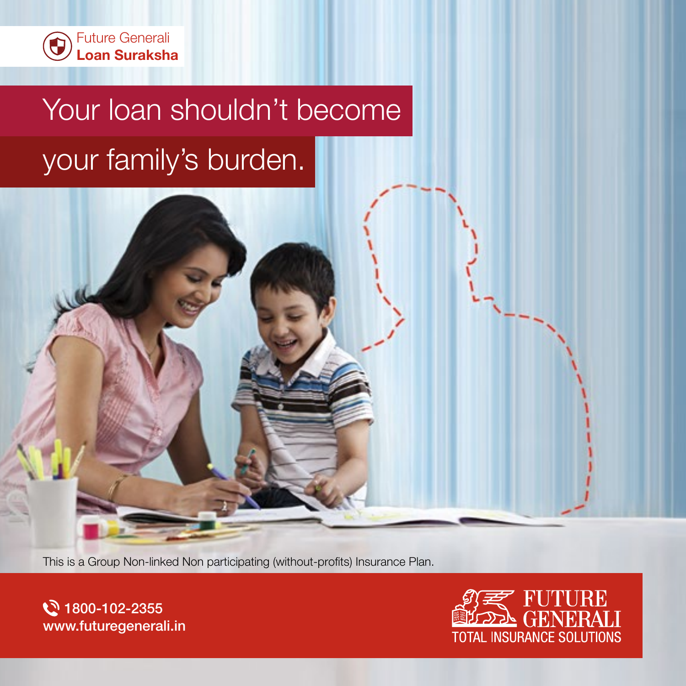

# Your loan shouldn't become your family's burden.

This is a Group Non-linked Non participating (without-profits) Insurance Plan.

े 1800-102-2355 www.futuregenerali.in

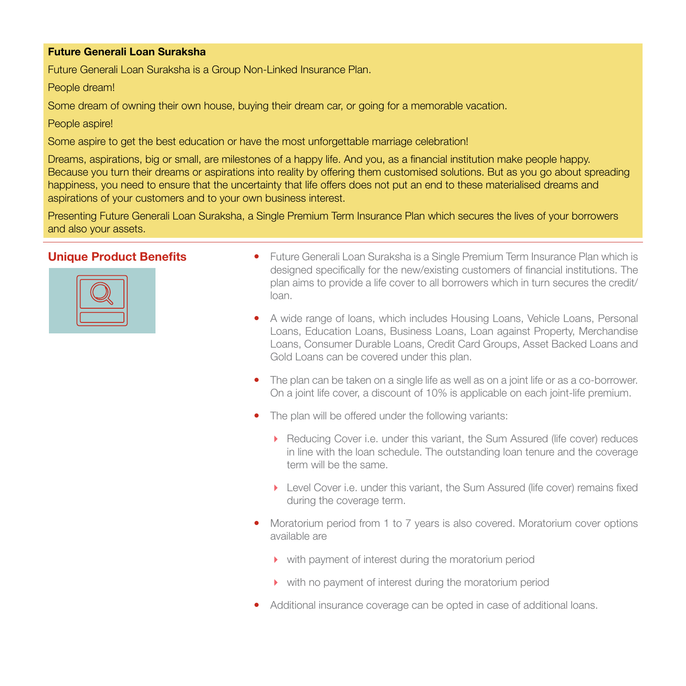### Future Generali Loan Suraksha

Future Generali Loan Suraksha is a Group Non-Linked Insurance Plan.

People dream!

Some dream of owning their own house, buying their dream car, or going for a memorable vacation.

People aspire!

Some aspire to get the best education or have the most unforgettable marriage celebration!

Dreams, aspirations, big or small, are milestones of a happy life. And you, as a financial institution make people happy. Because you turn their dreams or aspirations into reality by offering them customised solutions. But as you go about spreading happiness, you need to ensure that the uncertainty that life offers does not put an end to these materialised dreams and aspirations of your customers and to your own business interest.

Presenting Future Generali Loan Suraksha, a Single Premium Term Insurance Plan which secures the lives of your borrowers and also your assets.



- **Unique Product Benefits** Future Generali Loan Suraksha is a Single Premium Term Insurance Plan which is designed specifically for the new/existing customers of financial institutions. The plan aims to provide a life cover to all borrowers which in turn secures the credit/ loan.
	- A wide range of loans, which includes Housing Loans, Vehicle Loans, Personal Loans, Education Loans, Business Loans, Loan against Property, Merchandise Loans, Consumer Durable Loans, Credit Card Groups, Asset Backed Loans and Gold Loans can be covered under this plan.
	- The plan can be taken on a single life as well as on a joint life or as a co-borrower. On a joint life cover, a discount of 10% is applicable on each joint-life premium.
	- The plan will be offered under the following variants:
		- **•** Reducing Cover i.e. under this variant, the Sum Assured (life cover) reduces in line with the loan schedule. The outstanding loan tenure and the coverage term will be the same.
		- ▶ Level Cover i.e. under this variant, the Sum Assured (life cover) remains fixed during the coverage term.
	- Moratorium period from 1 to 7 years is also covered. Moratorium cover options available are
		- with payment of interest during the moratorium period
		- with no payment of interest during the moratorium period
	- Additional insurance coverage can be opted in case of additional loans.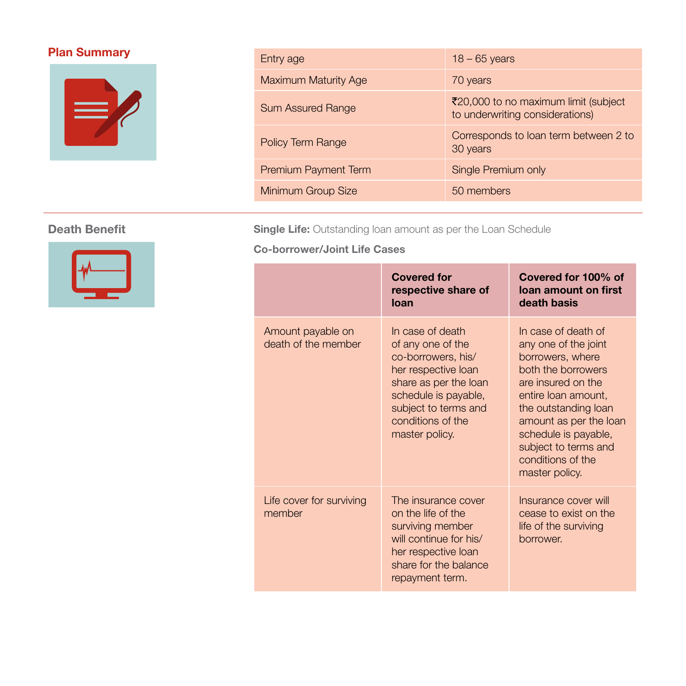

# **Plan Summary** Entry age 18 – 65 years 18 – 65 years Maximum Maturity Age 70 years Sum Assured Range  $\overline{z}$ 20,000 to no maximum limit (subject<br>the underwriting expediately to underwriting considerations) Policy Term Range Corresponds to loan term between 2 to 30 years Premium Payment Term Single Premium only Minimum Group Size 50 members



**Death Benefit** Single Life: Outstanding loan amount as per the Loan Schedule

Co-borrower/Joint Life Cases

|                                          | <b>Covered for</b><br>respective share of<br>loan                                                                                                                                                  | Covered for 100% of<br>loan amount on first<br>death basis                                                                                                                                                                                                                  |
|------------------------------------------|----------------------------------------------------------------------------------------------------------------------------------------------------------------------------------------------------|-----------------------------------------------------------------------------------------------------------------------------------------------------------------------------------------------------------------------------------------------------------------------------|
| Amount payable on<br>death of the member | In case of death<br>of any one of the<br>co-borrowers, his/<br>her respective loan<br>share as per the loan<br>schedule is payable,<br>subject to terms and<br>conditions of the<br>master policy. | In case of death of<br>any one of the joint<br>borrowers, where<br>both the borrowers<br>are insured on the<br>entire loan amount,<br>the outstanding loan<br>amount as per the loan<br>schedule is payable,<br>subject to terms and<br>conditions of the<br>master policy. |
| Life cover for surviving<br>member       | The insurance cover<br>on the life of the<br>surviving member<br>will continue for his/<br>her respective loan<br>share for the balance<br>repayment term.                                         | Insurance cover will<br>cease to exist on the<br>life of the surviving<br>borrower.                                                                                                                                                                                         |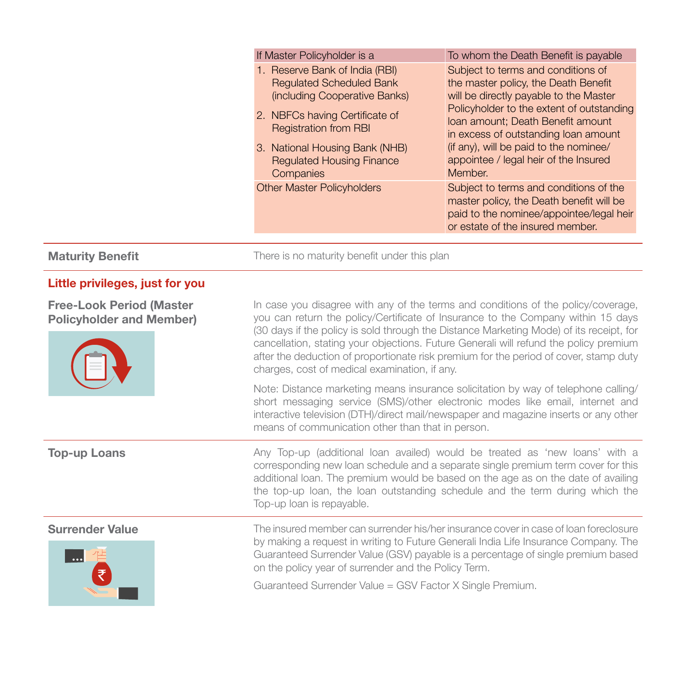|                         | If Master Policyholder is a                                                                                                                                                                                                                             | To whom the Death Benefit is payable                                                                                                                                                                                                                                                                                                         |
|-------------------------|---------------------------------------------------------------------------------------------------------------------------------------------------------------------------------------------------------------------------------------------------------|----------------------------------------------------------------------------------------------------------------------------------------------------------------------------------------------------------------------------------------------------------------------------------------------------------------------------------------------|
|                         | 1. Reserve Bank of India (RBI)<br><b>Requlated Scheduled Bank</b><br>(including Cooperative Banks)<br>2. NBFCs having Certificate of<br><b>Registration from RBI</b><br>3. National Housing Bank (NHB)<br><b>Requlated Housing Finance</b><br>Companies | Subject to terms and conditions of<br>the master policy, the Death Benefit<br>will be directly payable to the Master<br>Policyholder to the extent of outstanding<br>Ioan amount; Death Benefit amount<br>in excess of outstanding loan amount<br>(if any), will be paid to the nominee/<br>appointee / legal heir of the Insured<br>Member. |
|                         | <b>Other Master Policyholders</b>                                                                                                                                                                                                                       | Subject to terms and conditions of the<br>master policy, the Death benefit will be<br>paid to the nominee/appointee/legal heir<br>or estate of the insured member.                                                                                                                                                                           |
| <b>Maturity Benefit</b> | There is no maturity benefit under this plan                                                                                                                                                                                                            |                                                                                                                                                                                                                                                                                                                                              |

charges, cost of medical examination, if any.

means of communication other than that in person.

## Little privileges, just for you

Free-Look Period (Master Policyholder and Member)



**Top-up Loans Any Top-up** (additional loan availed) would be treated as 'new loans' with a corresponding new loan schedule and a separate single premium term cover for this additional loan. The premium would be based on the age as on the date of availing the top-up loan, the loan outstanding schedule and the term during which the Top-up loan is repayable.

In case you disagree with any of the terms and conditions of the policy/coverage, you can return the policy/Certificate of Insurance to the Company within 15 days (30 days if the policy is sold through the Distance Marketing Mode) of its receipt, for cancellation, stating your objections. Future Generali will refund the policy premium after the deduction of proportionate risk premium for the period of cover, stamp duty

Note: Distance marketing means insurance solicitation by way of telephone calling/ short messaging service (SMS)/other electronic modes like email, internet and interactive television (DTH)/direct mail/newspaper and magazine inserts or any other



Surrender Value The insured member can surrender his/her insurance cover in case of loan foreclosure by making a request in writing to Future Generali India Life Insurance Company. The Guaranteed Surrender Value (GSV) payable is a percentage of single premium based on the policy year of surrender and the Policy Term.

Guaranteed Surrender Value = GSV Factor X Single Premium.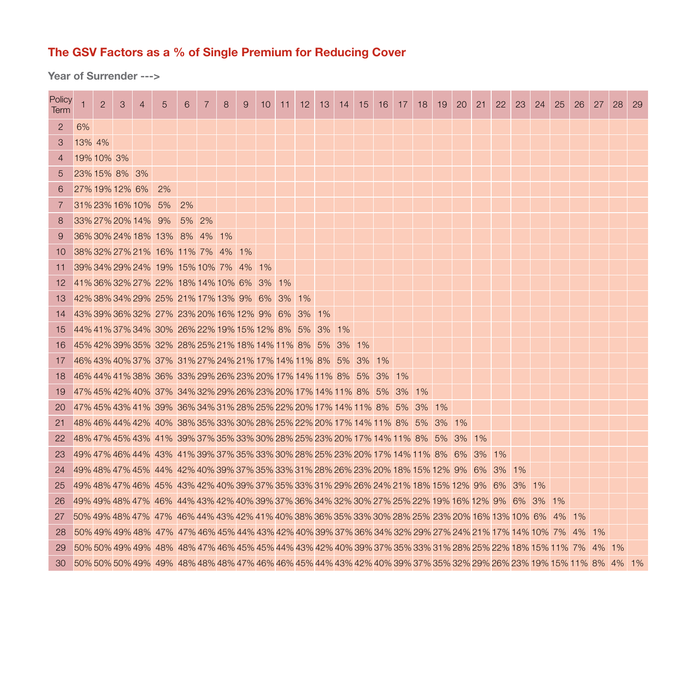# The GSV Factors as a % of Single Premium for Reducing Cover

Year of Surrender --->

| Policy<br><b>Term</b> | $\mathbf{1}$    | $\overline{2}$ | 3 | $\overline{4}$     | 5                                                                                                                | 6        | $\overline{7}$ | 8 | 9 | 10 | 11 | 12 | 13 | 14 | 15 | 16 | 17 | 18 | 19 | 20    | 21 | 22 | 23 | 24 | 25 | 26 | 27 | 28 | 29 |
|-----------------------|-----------------|----------------|---|--------------------|------------------------------------------------------------------------------------------------------------------|----------|----------------|---|---|----|----|----|----|----|----|----|----|----|----|-------|----|----|----|----|----|----|----|----|----|
| 2                     | 6%              |                |   |                    |                                                                                                                  |          |                |   |   |    |    |    |    |    |    |    |    |    |    |       |    |    |    |    |    |    |    |    |    |
| 3                     | 13% 4%          |                |   |                    |                                                                                                                  |          |                |   |   |    |    |    |    |    |    |    |    |    |    |       |    |    |    |    |    |    |    |    |    |
| $\overline{4}$        | 19% 10% 3%      |                |   |                    |                                                                                                                  |          |                |   |   |    |    |    |    |    |    |    |    |    |    |       |    |    |    |    |    |    |    |    |    |
| 5                     | 23% 15% 8% 3%   |                |   |                    |                                                                                                                  |          |                |   |   |    |    |    |    |    |    |    |    |    |    |       |    |    |    |    |    |    |    |    |    |
| 6                     | 27% 19% 12% 6%  |                |   |                    | 2%                                                                                                               |          |                |   |   |    |    |    |    |    |    |    |    |    |    |       |    |    |    |    |    |    |    |    |    |
| 7                     | 31% 23% 16% 10% |                |   |                    | 5%                                                                                                               | 2%       |                |   |   |    |    |    |    |    |    |    |    |    |    |       |    |    |    |    |    |    |    |    |    |
| 8                     |                 |                |   | 33% 27% 20% 14% 9% |                                                                                                                  | $5\%$ 2% |                |   |   |    |    |    |    |    |    |    |    |    |    |       |    |    |    |    |    |    |    |    |    |
| 9                     |                 |                |   |                    | 36% 30% 24% 18% 13% 8% 4% 1%                                                                                     |          |                |   |   |    |    |    |    |    |    |    |    |    |    |       |    |    |    |    |    |    |    |    |    |
| 10                    |                 |                |   |                    | 38% 32% 27% 21% 16% 11% 7% 4% 1%                                                                                 |          |                |   |   |    |    |    |    |    |    |    |    |    |    |       |    |    |    |    |    |    |    |    |    |
| 11                    |                 |                |   |                    | 39% 34% 29% 24% 19% 15% 10% 7% 4% 1%                                                                             |          |                |   |   |    |    |    |    |    |    |    |    |    |    |       |    |    |    |    |    |    |    |    |    |
| 12                    |                 |                |   |                    | 41% 36% 32% 27% 22% 18% 14% 10% 6% 3%                                                                            |          |                |   |   |    | 1% |    |    |    |    |    |    |    |    |       |    |    |    |    |    |    |    |    |    |
| 13                    |                 |                |   |                    | 42% 38% 34% 29% 25% 21% 17% 13% 9% 6% 3% 1%                                                                      |          |                |   |   |    |    |    |    |    |    |    |    |    |    |       |    |    |    |    |    |    |    |    |    |
| 14                    |                 |                |   |                    | 43% 39% 36% 32% 27% 23% 20% 16% 12% 9% 6% 3% 1%                                                                  |          |                |   |   |    |    |    |    |    |    |    |    |    |    |       |    |    |    |    |    |    |    |    |    |
| 15                    |                 |                |   |                    | 44% 41% 37% 34% 30% 26% 22% 19% 15% 12% 8% 5% 3% 1%                                                              |          |                |   |   |    |    |    |    |    |    |    |    |    |    |       |    |    |    |    |    |    |    |    |    |
| 16                    |                 |                |   |                    | 45% 42% 39% 35% 32% 28% 25% 21% 18% 14% 11% 8% 5% 3% 1%                                                          |          |                |   |   |    |    |    |    |    |    |    |    |    |    |       |    |    |    |    |    |    |    |    |    |
| 17                    |                 |                |   |                    | 46% 43% 40% 37% 37% 31% 27% 24% 21% 17% 14% 11% 8% 5% 3% 1%                                                      |          |                |   |   |    |    |    |    |    |    |    |    |    |    |       |    |    |    |    |    |    |    |    |    |
| 18                    |                 |                |   |                    | 46% 44% 41% 38% 36% 33% 29% 26% 23% 20% 17% 14% 11% 8% 5% 3% 1%                                                  |          |                |   |   |    |    |    |    |    |    |    |    |    |    |       |    |    |    |    |    |    |    |    |    |
| 19                    |                 |                |   |                    | 47% 45% 42% 40% 37% 34% 32% 29% 26% 23% 20% 17% 14% 11% 8% 5% 3% 1%                                              |          |                |   |   |    |    |    |    |    |    |    |    |    |    |       |    |    |    |    |    |    |    |    |    |
| 20                    |                 |                |   |                    | 47% 45% 43% 41% 39% 36% 34% 31% 28% 25% 22% 20% 17% 14% 11% 8% 5% 3% 1%                                          |          |                |   |   |    |    |    |    |    |    |    |    |    |    |       |    |    |    |    |    |    |    |    |    |
| 21                    |                 |                |   |                    | 48% 46% 44% 42% 40% 38% 35% 33% 30% 28% 25% 22% 20% 17% 14% 11% 8% 5% 3% 1%                                      |          |                |   |   |    |    |    |    |    |    |    |    |    |    |       |    |    |    |    |    |    |    |    |    |
| 22                    |                 |                |   |                    | 48% 47% 45% 43%  41%  39% 37% 35% 33% 30% 28% 25% 23% 20% 17% 14% 11%  8%   5%                                   |          |                |   |   |    |    |    |    |    |    |    |    |    |    | 3% 1% |    |    |    |    |    |    |    |    |    |
| 23                    |                 |                |   |                    | 49% 47% 46% 44% -43% -41% 39% 37% 35% 33% 30% 28% 25% 23% 20% 17% 14% 11% -8% -6% -3% -1%                        |          |                |   |   |    |    |    |    |    |    |    |    |    |    |       |    |    |    |    |    |    |    |    |    |
| 24                    |                 |                |   |                    | 49% 48% 47% 45% -44% -42% 40% 39% 37% 35% 33% 31% 28% 26% 23% 20% 18% 15% 12% -9% --6% --3% --1%                 |          |                |   |   |    |    |    |    |    |    |    |    |    |    |       |    |    |    |    |    |    |    |    |    |
| 25                    |                 |                |   |                    | 49% 48% 47% 46%  45%  43% 42% 40% 39% 37% 35% 33% 31% 29% 26% 24% 21% 18% 15% 12%  9%   6%   3%   1%             |          |                |   |   |    |    |    |    |    |    |    |    |    |    |       |    |    |    |    |    |    |    |    |    |
| 26                    |                 |                |   |                    | 49% 49% 48% 47% 46% 44% 43% 42% 40% 39% 37% 36% 34% 32% 30% 27% 25% 22% 19% 16% 12% 9% 6% 3% 1%                  |          |                |   |   |    |    |    |    |    |    |    |    |    |    |       |    |    |    |    |    |    |    |    |    |
| 27                    |                 |                |   |                    | 50% 49% 48% 47% -47% -46% 44% 43% 42% 41% 40% 38% 36% 35% 33% 30% 28% 25% 23% 20% 16% 13% 10% -6% - 4% - 1%      |          |                |   |   |    |    |    |    |    |    |    |    |    |    |       |    |    |    |    |    |    |    |    |    |
| 28                    |                 |                |   |                    | 50% 49% 49% 48% 47% 47% 46% 45% 44% 43% 42% 40% 39% 37% 36% 34% 32% 29% 27% 24% 21% 17% 14% 10% 7% 4% 1%         |          |                |   |   |    |    |    |    |    |    |    |    |    |    |       |    |    |    |    |    |    |    |    |    |
| 29                    |                 |                |   |                    | 50% 50% 49% 49% 48% 48% 47% 46% 45% 45% 44% 43% 42% 40% 39% 37% 35% 33% 31% 28% 25% 22% 18% 15% 11% 7% 4% 1%     |          |                |   |   |    |    |    |    |    |    |    |    |    |    |       |    |    |    |    |    |    |    |    |    |
| 30                    |                 |                |   |                    | 50% 50% 50% 49% 49% 48% 48% 48% 47% 46% 46% 45% 44% 43% 42% 40% 39% 37% 35% 32% 29% 26% 23% 19% 15% 11% 8% 4% 1% |          |                |   |   |    |    |    |    |    |    |    |    |    |    |       |    |    |    |    |    |    |    |    |    |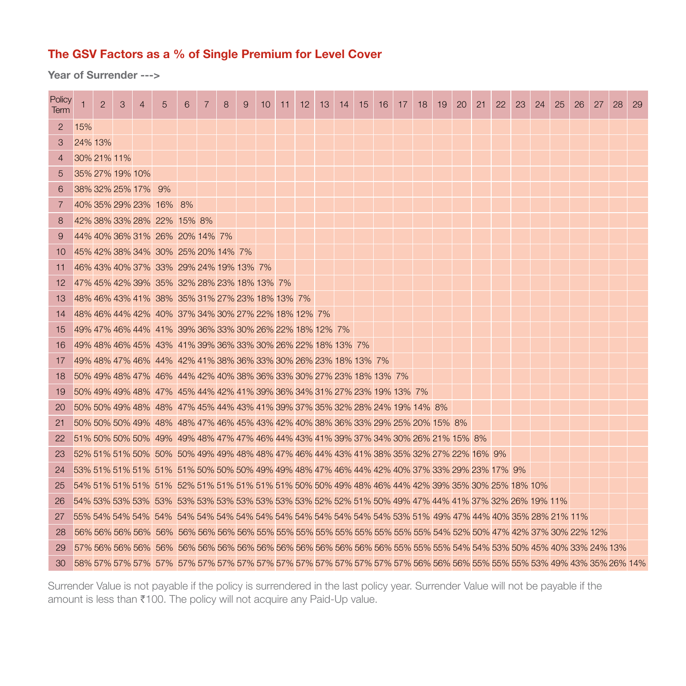# The GSV Factors as a % of Single Premium for Level Cover

Year of Surrender --->

| Policy<br>Term | 1               | $\overline{2}$ | 3 | 4                  | $\overline{5}$                                                                                  | 6 | 7 | 8 | 9 | 10 | 11 | 12 <sup>2</sup> | -13 | -14 | 15 | 16 | 17 | 18 | 19 | 20 | 21 | 22 | 23 | 24 | 25 | 26 | 27 | 28 | -29 |
|----------------|-----------------|----------------|---|--------------------|-------------------------------------------------------------------------------------------------|---|---|---|---|----|----|-----------------|-----|-----|----|----|----|----|----|----|----|----|----|----|----|----|----|----|-----|
| 2              | 15%             |                |   |                    |                                                                                                 |   |   |   |   |    |    |                 |     |     |    |    |    |    |    |    |    |    |    |    |    |    |    |    |     |
| 3              | 24% 13%         |                |   |                    |                                                                                                 |   |   |   |   |    |    |                 |     |     |    |    |    |    |    |    |    |    |    |    |    |    |    |    |     |
| $\overline{4}$ | 30% 21% 11%     |                |   |                    |                                                                                                 |   |   |   |   |    |    |                 |     |     |    |    |    |    |    |    |    |    |    |    |    |    |    |    |     |
| 5              | 35% 27% 19% 10% |                |   |                    |                                                                                                 |   |   |   |   |    |    |                 |     |     |    |    |    |    |    |    |    |    |    |    |    |    |    |    |     |
| 6              |                 |                |   | 38% 32% 25% 17% 9% |                                                                                                 |   |   |   |   |    |    |                 |     |     |    |    |    |    |    |    |    |    |    |    |    |    |    |    |     |
| 7              |                 |                |   |                    | 40% 35% 29% 23% 16% 8%                                                                          |   |   |   |   |    |    |                 |     |     |    |    |    |    |    |    |    |    |    |    |    |    |    |    |     |
| 8              |                 |                |   |                    | 42% 38% 33% 28% 22% 15% 8%                                                                      |   |   |   |   |    |    |                 |     |     |    |    |    |    |    |    |    |    |    |    |    |    |    |    |     |
| 9              |                 |                |   |                    | 44% 40% 36% 31% 26% 20% 14% 7%                                                                  |   |   |   |   |    |    |                 |     |     |    |    |    |    |    |    |    |    |    |    |    |    |    |    |     |
| 10             |                 |                |   |                    | 45% 42% 38% 34% 30% 25% 20% 14% 7%                                                              |   |   |   |   |    |    |                 |     |     |    |    |    |    |    |    |    |    |    |    |    |    |    |    |     |
| 11             |                 |                |   |                    | 46% 43% 40% 37% 33% 29% 24% 19% 13% 7%                                                          |   |   |   |   |    |    |                 |     |     |    |    |    |    |    |    |    |    |    |    |    |    |    |    |     |
| 12             |                 |                |   |                    | 47% 45% 42% 39% 35% 32% 28% 23% 18% 13% 7%                                                      |   |   |   |   |    |    |                 |     |     |    |    |    |    |    |    |    |    |    |    |    |    |    |    |     |
| 13             |                 |                |   |                    | 48% 46% 43% 41% 38% 35% 31% 27% 23% 18% 13% 7%                                                  |   |   |   |   |    |    |                 |     |     |    |    |    |    |    |    |    |    |    |    |    |    |    |    |     |
| 14             |                 |                |   |                    | 48% 46% 44% 42% 40% 37% 34% 30% 27% 22% 18% 12% 7%                                              |   |   |   |   |    |    |                 |     |     |    |    |    |    |    |    |    |    |    |    |    |    |    |    |     |
| 15             |                 |                |   |                    | 49% 47% 46% 44% 41% 39% 36% 33% 30% 26% 22% 18% 12% 7%                                          |   |   |   |   |    |    |                 |     |     |    |    |    |    |    |    |    |    |    |    |    |    |    |    |     |
| 16             |                 |                |   |                    | 49% 48% 46% 45% 43% 41% 39% 36% 33% 30% 26% 22% 18% 13% 7%                                      |   |   |   |   |    |    |                 |     |     |    |    |    |    |    |    |    |    |    |    |    |    |    |    |     |
| 17             |                 |                |   |                    | 49% 48% 47% 46% 44% 42% 41% 38% 36% 33% 30% 26% 23% 18% 13% 7%                                  |   |   |   |   |    |    |                 |     |     |    |    |    |    |    |    |    |    |    |    |    |    |    |    |     |
| 18             |                 |                |   |                    | 50% 49% 48% 47% 46% 44% 42% 40% 38% 36% 33% 30% 27% 23% 18% 13% 7%                              |   |   |   |   |    |    |                 |     |     |    |    |    |    |    |    |    |    |    |    |    |    |    |    |     |
| 19             |                 |                |   |                    | 50% 49% 49% 48% 47% 45% 44% 42% 41% 39% 36% 34% 31% 27% 23% 19% 13% 7%                          |   |   |   |   |    |    |                 |     |     |    |    |    |    |    |    |    |    |    |    |    |    |    |    |     |
| 20             |                 |                |   |                    | 50% 50% 49% 48% 48% 47% 45% 44% 43% 41% 39% 37% 35% 32% 28% 24% 19% 14% 8%                      |   |   |   |   |    |    |                 |     |     |    |    |    |    |    |    |    |    |    |    |    |    |    |    |     |
| 21             |                 |                |   |                    | 50% 50% 50% 49% 48% 48% 47% 46% 45% 43% 42% 40% 38% 36% 33% 29% 25% 20% 15% 8%                  |   |   |   |   |    |    |                 |     |     |    |    |    |    |    |    |    |    |    |    |    |    |    |    |     |
| 22             |                 |                |   |                    | 51% 50% 50% 50% 49% 49% 48% 47% 47% 46% 44% 43% 41% 39% 37% 34% 30% 26% 21% 15% 8%              |   |   |   |   |    |    |                 |     |     |    |    |    |    |    |    |    |    |    |    |    |    |    |    |     |
| 23             |                 |                |   |                    | 52% 51% 51% 50% 50% 50% 49% 49% 48% 48% 47% 46% 44% 43% 41% 38% 35% 32% 27% 22% 16% 9%          |   |   |   |   |    |    |                 |     |     |    |    |    |    |    |    |    |    |    |    |    |    |    |    |     |
| 24             |                 |                |   |                    | 53% 51% 51% 51% 51% 51% 50% 50% 50% 49% 49% 48% 47% 46% 44% 42% 40% 37% 33% 29% 23% 17% 9%      |   |   |   |   |    |    |                 |     |     |    |    |    |    |    |    |    |    |    |    |    |    |    |    |     |
| 25             |                 |                |   |                    | 54% 51% 51% 51% 51% 52% 51% 51% 51% 51% 51% 50% 50% 49% 48% 46% 44% 42% 39% 35% 30% 25% 18% 10% |   |   |   |   |    |    |                 |     |     |    |    |    |    |    |    |    |    |    |    |    |    |    |    |     |
| 26             |                 |                |   |                    |                                                                                                 |   |   |   |   |    |    |                 |     |     |    |    |    |    |    |    |    |    |    |    |    |    |    |    |     |
| 27             |                 |                |   |                    |                                                                                                 |   |   |   |   |    |    |                 |     |     |    |    |    |    |    |    |    |    |    |    |    |    |    |    |     |
| 28             |                 |                |   |                    |                                                                                                 |   |   |   |   |    |    |                 |     |     |    |    |    |    |    |    |    |    |    |    |    |    |    |    |     |
| 29             |                 |                |   |                    |                                                                                                 |   |   |   |   |    |    |                 |     |     |    |    |    |    |    |    |    |    |    |    |    |    |    |    |     |
| 30             |                 |                |   |                    |                                                                                                 |   |   |   |   |    |    |                 |     |     |    |    |    |    |    |    |    |    |    |    |    |    |    |    |     |

Surrender Value is not payable if the policy is surrendered in the last policy year. Surrender Value will not be payable if the amount is less than ₹100. The policy will not acquire any Paid-Up value.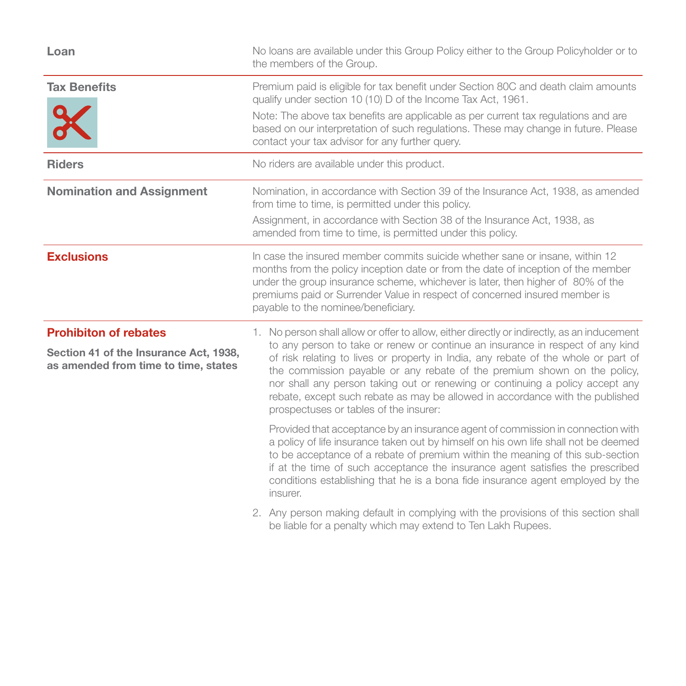| Loan                                                                                                           | No loans are available under this Group Policy either to the Group Policyholder or to<br>the members of the Group.                                                                                                                                                                                                                                                                                                                                                                                                                                                                                                                             |
|----------------------------------------------------------------------------------------------------------------|------------------------------------------------------------------------------------------------------------------------------------------------------------------------------------------------------------------------------------------------------------------------------------------------------------------------------------------------------------------------------------------------------------------------------------------------------------------------------------------------------------------------------------------------------------------------------------------------------------------------------------------------|
| <b>Tax Benefits</b>                                                                                            | Premium paid is eligible for tax benefit under Section 80C and death claim amounts<br>qualify under section 10 (10) D of the Income Tax Act, 1961.<br>Note: The above tax benefits are applicable as per current tax regulations and are<br>based on our interpretation of such regulations. These may change in future. Please<br>contact your tax advisor for any further query.                                                                                                                                                                                                                                                             |
| <b>Riders</b>                                                                                                  | No riders are available under this product.                                                                                                                                                                                                                                                                                                                                                                                                                                                                                                                                                                                                    |
| <b>Nomination and Assignment</b>                                                                               | Nomination, in accordance with Section 39 of the Insurance Act, 1938, as amended<br>from time to time, is permitted under this policy.<br>Assignment, in accordance with Section 38 of the Insurance Act, 1938, as<br>amended from time to time, is permitted under this policy.                                                                                                                                                                                                                                                                                                                                                               |
| <b>Exclusions</b>                                                                                              | In case the insured member commits suicide whether sane or insane, within 12<br>months from the policy inception date or from the date of inception of the member<br>under the group insurance scheme, whichever is later, then higher of 80% of the<br>premiums paid or Surrender Value in respect of concerned insured member is<br>payable to the nominee/beneficiary.                                                                                                                                                                                                                                                                      |
| <b>Prohibiton of rebates</b><br>Section 41 of the Insurance Act, 1938,<br>as amended from time to time, states | 1. No person shall allow or offer to allow, either directly or indirectly, as an inducement<br>to any person to take or renew or continue an insurance in respect of any kind<br>of risk relating to lives or property in India, any rebate of the whole or part of<br>the commission payable or any rebate of the premium shown on the policy,<br>nor shall any person taking out or renewing or continuing a policy accept any<br>rebate, except such rebate as may be allowed in accordance with the published<br>prospectuses or tables of the insurer:<br>Provided that acceptance by an insurance agent of commission in connection with |
|                                                                                                                | a policy of life insurance taken out by himself on his own life shall not be deemed<br>to be acceptance of a rebate of premium within the meaning of this sub-section<br>if at the time of such acceptance the insurance agent satisfies the prescribed<br>conditions establishing that he is a bona fide insurance agent employed by the<br>insurer.                                                                                                                                                                                                                                                                                          |
|                                                                                                                | 2. Any person making default in complying with the provisions of this section shall                                                                                                                                                                                                                                                                                                                                                                                                                                                                                                                                                            |

be liable for a penalty which may extend to Ten Lakh Rupees.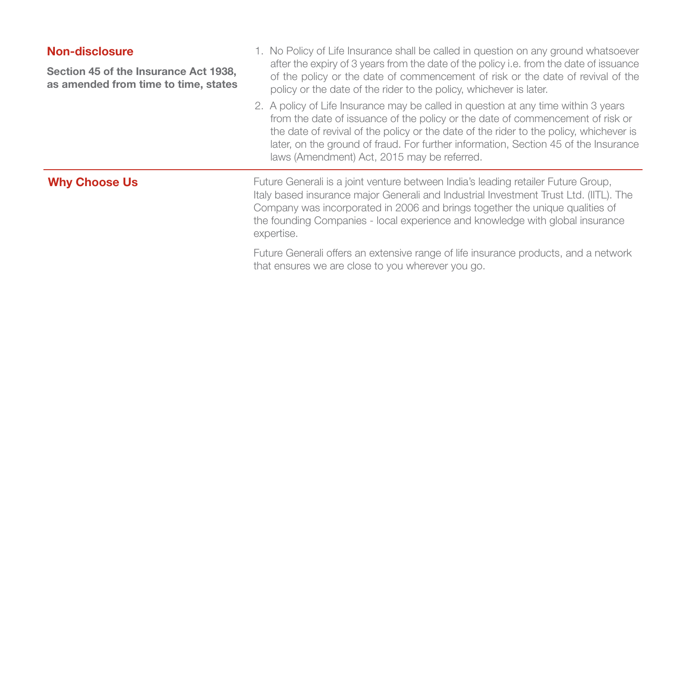# Non-disclosure

Section 45 of the Insurance Act 1938, as amended from time to time, states

- 1. No Policy of Life Insurance shall be called in question on any ground whatsoever after the expiry of 3 years from the date of the policy i.e. from the date of issuance of the policy or the date of commencement of risk or the date of revival of the policy or the date of the rider to the policy, whichever is later.
- 2. A policy of Life Insurance may be called in question at any time within 3 years from the date of issuance of the policy or the date of commencement of risk or the date of revival of the policy or the date of the rider to the policy, whichever is later, on the ground of fraud. For further information, Section 45 of the Insurance laws (Amendment) Act, 2015 may be referred.

Why Choose Us **Future Generali is a joint venture between India's leading retailer Future Group,** Italy based insurance major Generali and Industrial Investment Trust Ltd. (IITL). The Company was incorporated in 2006 and brings together the unique qualities of the founding Companies - local experience and knowledge with global insurance expertise.

> Future Generali offers an extensive range of life insurance products, and a network that ensures we are close to you wherever you go.